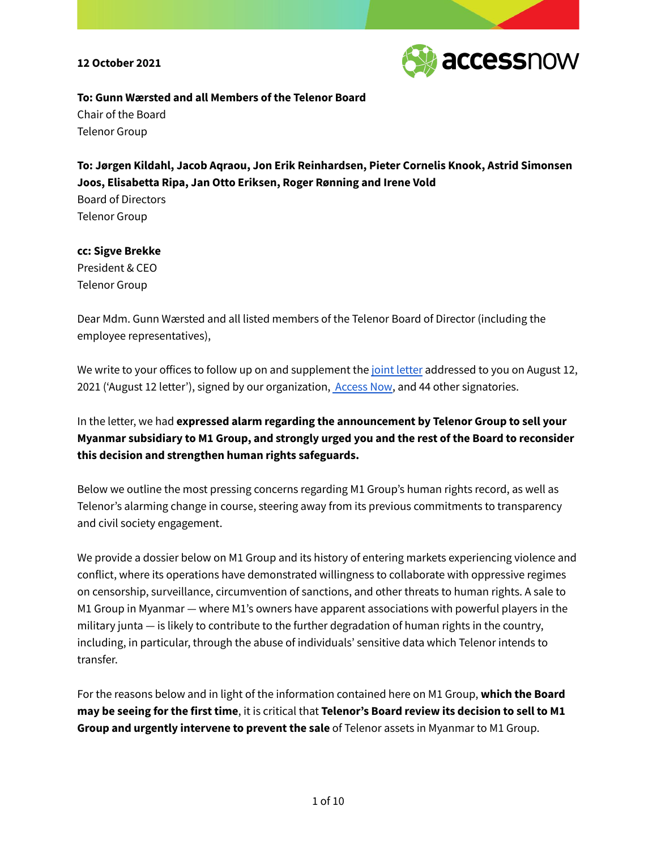

### **To: Gunn Wærsted and all Members of the Telenor Board** Chair of the Board

Telenor Group

**To: Jørgen Kildahl, Jacob Aqraou, Jon Erik Reinhardsen, Pieter Cornelis Knook, Astrid Simonsen Joos, Elisabetta Ripa, Jan Otto Eriksen, Roger Rønning and Irene Vold** Board of Directors Telenor Group

# **cc: Sigve Brekke** President & CEO

Telenor Group

Dear Mdm. Gunn Wærsted and all listed members of the Telenor Board of Director (including the employee representatives),

We write to your offices to follow up on and supplement the joint [letter](https://www.accessnow.org/cms/assets/uploads/2021/08/Letter-to-Telenor_12-August-2021.pdf) addressed to you on August 12, 2021 ('August 12 letter'), signed by our organization, [Access](http://accessnow.org) Now, and 44 other signatories.

In the letter, we had **expressed alarm regarding the announcement by Telenor Group to sell your Myanmar subsidiary to M1 Group, and strongly urged you and the rest of the Board to reconsider this decision and strengthen human rights safeguards.**

Below we outline the most pressing concerns regarding M1 Group's human rights record, as well as Telenor's alarming change in course, steering away from its previous commitments to transparency and civil society engagement.

We provide a dossier below on M1 Group and its history of entering markets experiencing violence and conflict, where its operations have demonstrated willingness to collaborate with oppressive regimes on censorship, surveillance, circumvention of sanctions, and other threats to human rights. A sale to M1 Group in Myanmar — where M1's owners have apparent associations with powerful players in the military junta — is likely to contribute to the further degradation of human rights in the country, including, in particular, through the abuse of individuals' sensitive data which Telenor intends to transfer.

For the reasons below and in light of the information contained here on M1 Group, **which the Board may be seeing for the first time**, it is critical that **Telenor's Board review its decision to sell to M1 Group and urgently intervene to prevent the sale** of Telenor assets in Myanmar to M1 Group.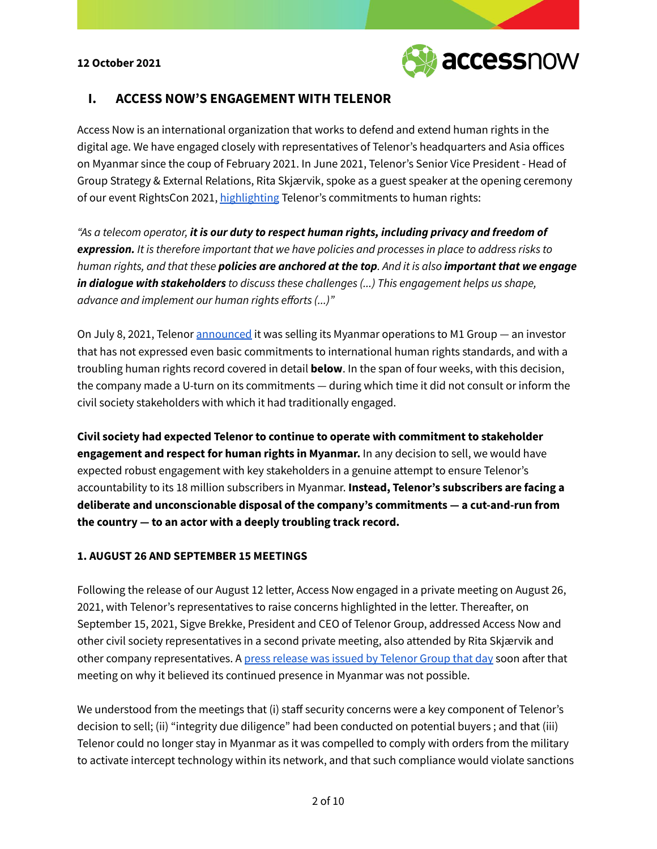

# **I. ACCESS NOW'S ENGAGEMENT WITH TELENOR**

Access Now is an international organization that works to defend and extend human rights in the digital age. We have engaged closely with representatives of Telenor's headquarters and Asia offices on Myanmar since the coup of February 2021. In June 2021, Telenor's Senior Vice President - Head of Group Strategy & External Relations, Rita Skjærvik, spoke as a guest speaker at the opening ceremony of our event RightsCon 2021, [highlighting](https://www.youtube.com/watch?v=t9Jwa_E62RQ&list=PLprTandRM962kq7fcetWh8Uvp0bB0tM8C&index=1&t=2068s) Telenor's commitments to human rights:

*"As a telecom operator, it is our duty to respect human rights, including privacy and freedom of expression. It is therefore important that we have policies and processes in place to address risks to* human rights, and that these **policies are anchored at the top**. And it is also **important that we engage** *in dialogue with stakeholders to discuss these challenges (...) This engagement helps us shape, advance and implement our human rights efforts (...)"*

On July 8, 2021, Telenor [announced](https://www.telenor.com/media/press-release/telenor-group-sells-telenor-myanmar-to-m1-group%E2%80%AF) it was selling its Myanmar operations to M1 Group — an investor that has not expressed even basic commitments to international human rights standards, and with a troubling human rights record covered in detail **below**. In the span of four weeks, with this decision, the company made a U-turn on its commitments — during which time it did not consult or inform the civil society stakeholders with which it had traditionally engaged.

**Civil society had expected Telenor to continue to operate with commitment to stakeholder engagement and respect for human rights in Myanmar.** In any decision to sell, we would have expected robust engagement with key stakeholders in a genuine attempt to ensure Telenor's accountability to its 18 million subscribers in Myanmar. **Instead, Telenor's subscribers are facing a deliberate and unconscionable disposal of the company's commitments — a cut-and-run from the country — to an actor with a deeply troubling track record.**

#### **1. AUGUST 26 AND SEPTEMBER 15 MEETINGS**

Following the release of our August 12 letter, Access Now engaged in a private meeting on August 26, 2021, with Telenor's representatives to raise concerns highlighted in the letter. Thereafter, on September 15, 2021, Sigve Brekke, President and CEO of Telenor Group, addressed Access Now and other civil society representatives in a second private meeting, also attended by Rita Skjærvik and other company representatives. A press release was issued by [Telenor](https://www.telenor.com/media/announcement/continued-presence-in-myanmar-not-possible-for-telenor) Group that day soon after that meeting on why it believed its continued presence in Myanmar was not possible.

We understood from the meetings that (i) staff security concerns were a key component of Telenor's decision to sell; (ii) "integrity due diligence" had been conducted on potential buyers ; and that (iii) Telenor could no longer stay in Myanmar as it was compelled to comply with orders from the military to activate intercept technology within its network, and that such compliance would violate sanctions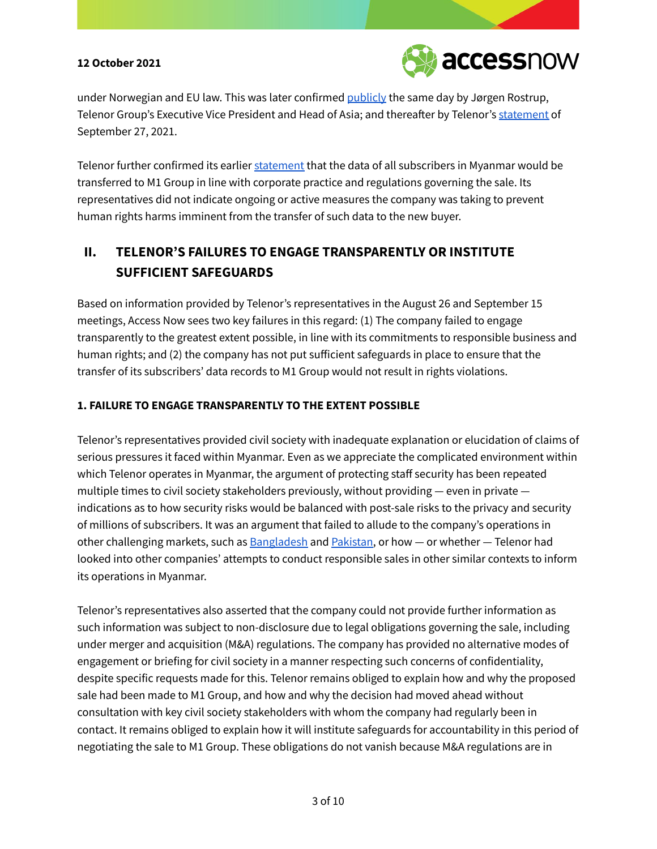

under Norwegian and EU law. This was later confirmed [publicly](https://www.reuters.com/world/norways-telenor-says-myanmar-unit-sale-came-after-juntas-pressure-surveillance-2021-09-15/) the same day by Jørgen Rostrup, Telenor Group's Executive Vice President and Head of Asia; and thereafter by Telenor's [statement](https://www.telenor.com/media/announcement/update-on-the-ongoing-oecd-complaint-against-telenor-on-the-sale-of-telenor-myanmar-27-september-2021) of September 27, 2021.

Telenor further confirmed its earlier [statement](https://www.myanmar-now.org/en/news/telenor-will-transfer-call-data-records-for-18m-subscribers-to-junta-linked-company) that the data of all subscribers in Myanmar would be transferred to M1 Group in line with corporate practice and regulations governing the sale. Its representatives did not indicate ongoing or active measures the company was taking to prevent human rights harms imminent from the transfer of such data to the new buyer.

# **II. TELENOR'S FAILURES TO ENGAGE TRANSPARENTLY OR INSTITUTE SUFFICIENT SAFEGUARDS**

Based on information provided by Telenor's representatives in the August 26 and September 15 meetings, Access Now sees two key failures in this regard: (1) The company failed to engage transparently to the greatest extent possible, in line with its commitments to responsible business and human rights; and (2) the company has not put sufficient safeguards in place to ensure that the transfer of its subscribers' data records to M1 Group would not result in rights violations.

## **1. FAILURE TO ENGAGE TRANSPARENTLY TO THE EXTENT POSSIBLE**

Telenor's representatives provided civil society with inadequate explanation or elucidation of claims of serious pressures it faced within Myanmar. Even as we appreciate the complicated environment within which Telenor operates in Myanmar, the argument of protecting staff security has been repeated multiple times to civil society stakeholders previously, without providing — even in private indications as to how security risks would be balanced with post-sale risks to the privacy and security of millions of subscribers. It was an argument that failed to allude to the company's operations in other challenging markets, such as **[Bangladesh](https://www.telenor.com/the-great-bangladesh-adventure/)** and **Pakistan**, or how  $-$  or whether  $-$  Telenor had looked into other companies' attempts to conduct responsible sales in other similar contexts to inform its operations in Myanmar.

Telenor's representatives also asserted that the company could not provide further information as such information was subject to non-disclosure due to legal obligations governing the sale, including under merger and acquisition (M&A) regulations. The company has provided no alternative modes of engagement or briefing for civil society in a manner respecting such concerns of confidentiality, despite specific requests made for this. Telenor remains obliged to explain how and why the proposed sale had been made to M1 Group, and how and why the decision had moved ahead without consultation with key civil society stakeholders with whom the company had regularly been in contact. It remains obliged to explain how it will institute safeguards for accountability in this period of negotiating the sale to M1 Group. These obligations do not vanish because M&A regulations are in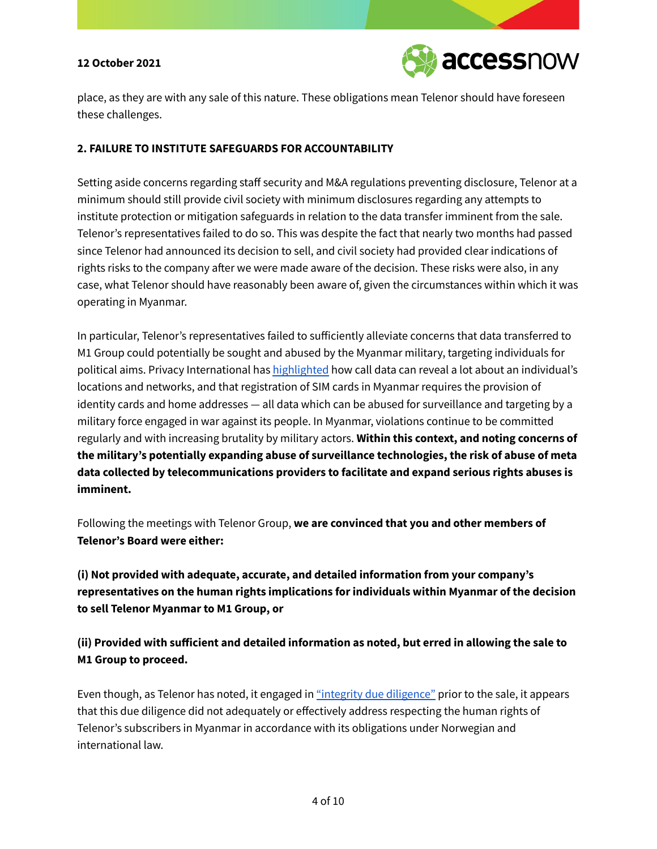

place, as they are with any sale of this nature. These obligations mean Telenor should have foreseen these challenges.

#### **2. FAILURE TO INSTITUTE SAFEGUARDS FOR ACCOUNTABILITY**

Setting aside concerns regarding staff security and M&A regulations preventing disclosure, Telenor at a minimum should still provide civil society with minimum disclosures regarding any attempts to institute protection or mitigation safeguards in relation to the data transfer imminent from the sale. Telenor's representatives failed to do so. This was despite the fact that nearly two months had passed since Telenor had announced its decision to sell, and civil society had provided clear indications of rights risks to the company after we were made aware of the decision. These risks were also, in any case, what Telenor should have reasonably been aware of, given the circumstances within which it was operating in Myanmar.

In particular, Telenor's representatives failed to sufficiently alleviate concerns that data transferred to M1 Group could potentially be sought and abused by the Myanmar military, targeting individuals for political aims. Privacy International has [highlighted](https://tonsouthasiafocus.com/telenor-will-transfer-call-data-records-for-18m-myanmar-subscribers-to-military-linked-company/) how call data can reveal a lot about an individual's locations and networks, and that registration of SIM cards in Myanmar requires the provision of identity cards and home addresses — all data which can be abused for surveillance and targeting by a military force engaged in war against its people. In Myanmar, violations continue to be committed regularly and with increasing brutality by military actors. **Within this context, and noting concerns of the military's potentially expanding abuse of surveillance technologies, the risk of abuse of meta data collected by telecommunications providers to facilitate and expand serious rights abuses is imminent.**

Following the meetings with Telenor Group, **we are convinced that you and other members of Telenor's Board were either:**

**(i) Not provided with adequate, accurate, and detailed information from your company's representatives on the human rights implications for individuals within Myanmar of the decision to sell Telenor Myanmar to M1 Group, or**

**(ii) Provided with sufficient and detailed information as noted, but erred in allowing the sale to M1 Group to proceed.**

Even though, as Telenor has noted, it engaged in "integrity due [diligence"](https://www.telenor.com/media/announcement/update-on-the-ongoing-oecd-complaint-against-telenor-on-the-sale-of-telenor-myanmar-27-september-2021) prior to the sale, it appears that this due diligence did not adequately or effectively address respecting the human rights of Telenor's subscribers in Myanmar in accordance with its obligations under Norwegian and international law.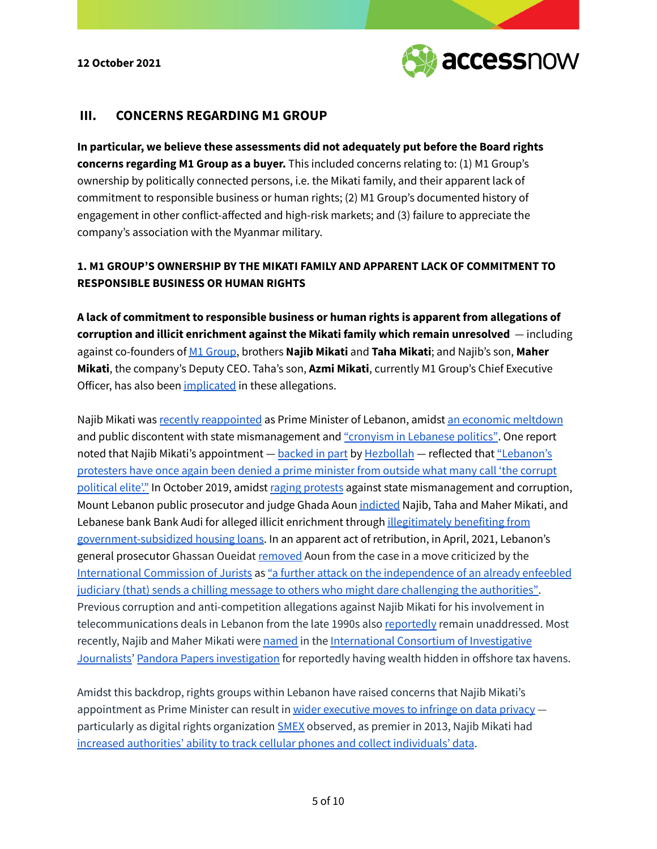

## **III. CONCERNS REGARDING M1 GROUP**

**In particular, we believe these assessments did not adequately put before the Board rights concerns regarding M1 Group as a buyer.** This included concerns relating to: (1) M1 Group's ownership by politically connected persons, i.e. the Mikati family, and their apparent lack of commitment to responsible business or human rights; (2) M1 Group's documented history of engagement in other conflict-affected and high-risk markets; and (3) failure to appreciate the company's association with the Myanmar military.

## **1. M1 GROUP'S OWNERSHIP BY THE MIKATI FAMILY AND APPARENT LACK OF COMMITMENT TO RESPONSIBLE BUSINESS OR HUMAN RIGHTS**

**A lack of commitment to responsible business or human rights is apparent from allegations of corruption and illicit enrichment against the Mikati family which remain unresolved** — including against co-founders of M1 [Group](https://www.m1group.com/about-us/), brothers **Najib Mikati** and **Taha Mikati**; and Najib's son, **Maher Mikati**, the company's Deputy CEO. Taha's son, **Azmi Mikati**, currently M1 Group's Chief Executive Officer, has also been [implicated](https://www.dailystar.com.lb/News/Lebanon-News/2019/Oct-23/494138-prosecutor-files-corruption-charges-against-mikati-bank-audi.ashx) in these allegations.

Najib Mikati was recently [reappointed](https://www.voanews.com/a/middle-east_billionaire-najib-mikati-form-lebanons-new-government/6208786.html) as Prime Minister of Lebanon, amidst an economic [meltdown](https://www.reuters.com/world/middle-east/sunni-tycoon-mikati-leads-lebanons-first-government-year-2021-09-10/) and public discontent with state mismanagement and ["cronyism](https://www.aljazeera.com/news/2021/9/26/lebanese-voice-concerns-and-mixed-emotions-on-new-government) in Lebanese politics". One report noted that Najib Mikati's appointment — [backed](https://www.aljazeera.com/news/2021/7/25/lebanese-sunni-leaders-endorse-najib-mikati-to-form-new-government) in part by [Hezbollah](https://www.france24.com/en/live-news/20210726-lebanese-mps-pick-najib-mikati-as-new-prime-minister) — reflected that ["Lebanon's](https://www.voanews.com/a/middle-east_billionaire-najib-mikati-form-lebanons-new-government/6208786.html) [protesters](https://www.voanews.com/a/middle-east_billionaire-najib-mikati-form-lebanons-new-government/6208786.html) have once again been denied a prime minister from outside what many call 'the corrupt [political](https://www.voanews.com/a/middle-east_billionaire-najib-mikati-form-lebanons-new-government/6208786.html) elite'." In October 2019, amidst raging [protests](https://www.aljazeera.com/economy/2019/10/18/lebanon-protests-thousands-demand-fall-of-the-regime-in-beirut) against state mismanagement and corruption, Mount Lebanon public prosecutor and judge Ghada Aoun [indicted](https://gulfnews.com/world/mena/lebanons-richest-man-indicted-who-is-najib-mikati-1.67354626) Najib, Taha and Maher Mikati, and Lebanese bank Bank Audi for alleged illicit enrichment through *[illegitimately](https://www.bnnbloomberg.ca/lebanese-billionaire-and-top-bank-stand-accused-of-illicit-gains-1.1336122) benefiting from* [government-subsidized](https://www.bnnbloomberg.ca/lebanese-billionaire-and-top-bank-stand-accused-of-illicit-gains-1.1336122) housing loans. In an apparent act of retribution, in April, 2021, Lebanon's general prosecutor Ghassan Oueidat [removed](https://www.reuters.com/world/middle-east/lebanese-president-urges-calm-after-judicial-dispute-2021-04-22/) Aoun from the case in a move criticized by the [International](https://www.icj.org) Commission of Jurists as "a further attack on the [independence](https://www.icj.org/lebanon-stop-removal-of-investigative-authorities-overseeing-high-level-corruption-and-criminal-negligence-cases/) of an already enfeebled judiciary (that) sends a chilling message to others who might dare challenging the [authorities".](https://www.icj.org/lebanon-stop-removal-of-investigative-authorities-overseeing-high-level-corruption-and-criminal-negligence-cases/) Previous corruption and anti-competition allegations against Najib Mikati for his involvement in telecommunications deals in Lebanon from the late 1990s also [reportedly](https://daraj.com/en/77402/) remain unaddressed. Most recently, Najib and Maher Mikati were [named](https://www.aljazeera.com/news/2021/10/4/lebanese-prime-minister-among-officials-listed-in-pandora-papers) in the [International](https://www.icij.org) Consortium of Investigative [Journalists'](https://www.icij.org) Pandora Papers [investigation](https://www.icij.org/investigations/pandora-papers/global-investigation-tax-havens-offshore/) for reportedly having wealth hidden in offshore tax havens.

Amidst this backdrop, rights groups within Lebanon have raised concerns that Najib Mikati's appointment as Prime Minister can result in wider [executive](https://today.lorientlejour.com/article/1275096/new-pm-miktatis-business-empire-criticized-by-human-rights-activists-over-post-coup-telecom-dealings-in-myanmar.html) moves to infringe on data privacy particularly as digital rights organization [SMEX](https://smex.org) observed, as premier in 2013, Najib Mikati had increased authorities' ability to track cellular phones and collect [individuals'](https://today.lorientlejour.com/article/1275096/new-pm-miktatis-business-empire-criticized-by-human-rights-activists-over-post-coup-telecom-dealings-in-myanmar.html) data.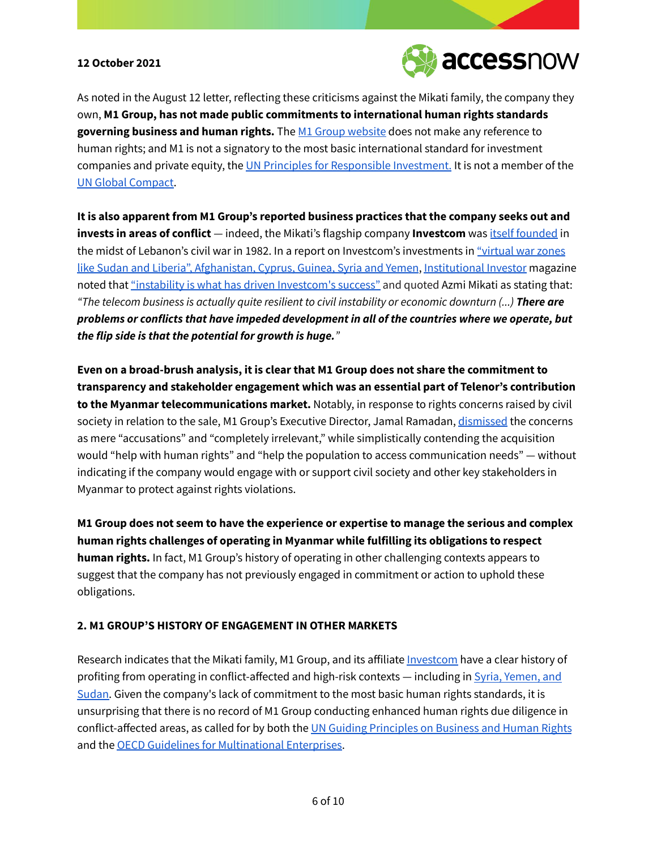

As noted in the August 12 letter, reflecting these criticisms against the Mikati family, the company they own, **M1 Group, has not made public commitments to international human rights standards governing business and human rights.** The M1 Group [website](https://www.m1group.com/about-us/) does not make any reference to human rights; and M1 is not a signatory to the most basic international standard for investment companies and private equity, the UN Principles for [Responsible](https://www.unpri.org) Investment. It is not a member of the UN Global [Compact.](https://www.unglobalcompact.org/what-is-gc)

**It is also apparent from M1 Group's reported business practices that the company seeks out and invests in areas of conflict** — indeed, the Mikati's flagship company **Investcom** was itself [founded](https://english.alaraby.co.uk/analysis/what-lebanese-m1-group-just-entered-myanmar) in the midst of Lebanon's civil war in 1982. In a report on Investcom's investments in ["virtual](https://www.institutionalinvestor.com/article/b150nnl83xhsr3/mikatis-calling-plan-for-chaos) war zones like Sudan and Liberia", [Afghanistan,](https://www.institutionalinvestor.com/article/b150nnl83xhsr3/mikatis-calling-plan-for-chaos) Cyprus, Guinea, Syria and Yemen, [Institutional](https://www.institutionalinvestor.com) Investor magazine noted that "instability is what has driven [Investcom's](https://www.institutionalinvestor.com/article/b150nnl83xhsr3/mikatis-calling-plan-for-chaos) success" and quoted Azmi Mikati as stating that: *"The telecom business is actually quite resilient to civil instability or economic downturn (...) There are problems or conflicts that have impeded development in all of the countries where we operate, but the flip side is that the potential for growth is huge."*

**Even on a broad-brush analysis, it is clear that M1 Group does not share the commitment to transparency and stakeholder engagement which was an essential part of Telenor's contribution to the Myanmar telecommunications market.** Notably, in response to rights concerns raised by civil society in relation to the sale, M1 Group's Executive Director, Jamal Ramadan, [dismissed](https://today.lorientlejour.com/article/1275096/new-pm-miktatis-business-empire-criticized-by-human-rights-activists-over-post-coup-telecom-dealings-in-myanmar.html) the concerns as mere "accusations" and "completely irrelevant," while simplistically contending the acquisition would "help with human rights" and "help the population to access communication needs" — without indicating if the company would engage with or support civil society and other key stakeholders in Myanmar to protect against rights violations.

**M1 Group does not seem to have the experience or expertise to manage the serious and complex human rights challenges of operating in Myanmar while fulfilling its obligations to respect human rights.** In fact, M1 Group's history of operating in other challenging contexts appears to suggest that the company has not previously engaged in commitment or action to uphold these obligations.

#### **2. M1 GROUP'S HISTORY OF ENGAGEMENT IN OTHER MARKETS**

Research indicates that the Mikati family, M1 Group, and its affiliate *[Investcom](https://pitchbook.com/profiles/company/154102-96#overview)* have a clear history of profiting from operating in conflict-affected and high-risk contexts — including in Syria, [Yemen,](https://today.lorientlejour.com/article/1275096/new-pm-miktatis-business-empire-criticized-by-human-rights-activists-over-post-coup-telecom-dealings-in-myanmar.html) and [Sudan.](https://today.lorientlejour.com/article/1275096/new-pm-miktatis-business-empire-criticized-by-human-rights-activists-over-post-coup-telecom-dealings-in-myanmar.html) Given the company's lack of commitment to the most basic human rights standards, it is unsurprising that there is no record of M1 Group conducting enhanced human rights due diligence in conflict-affected areas, as called for by both the UN Guiding [Principles](https://www.ohchr.org/documents/publications/guidingprinciplesbusinesshr_en.pdf) on Business and Human Rights and the OECD Guidelines for [Multinational](http://mneguidelines.oecd.org/guidelines/) Enterprises.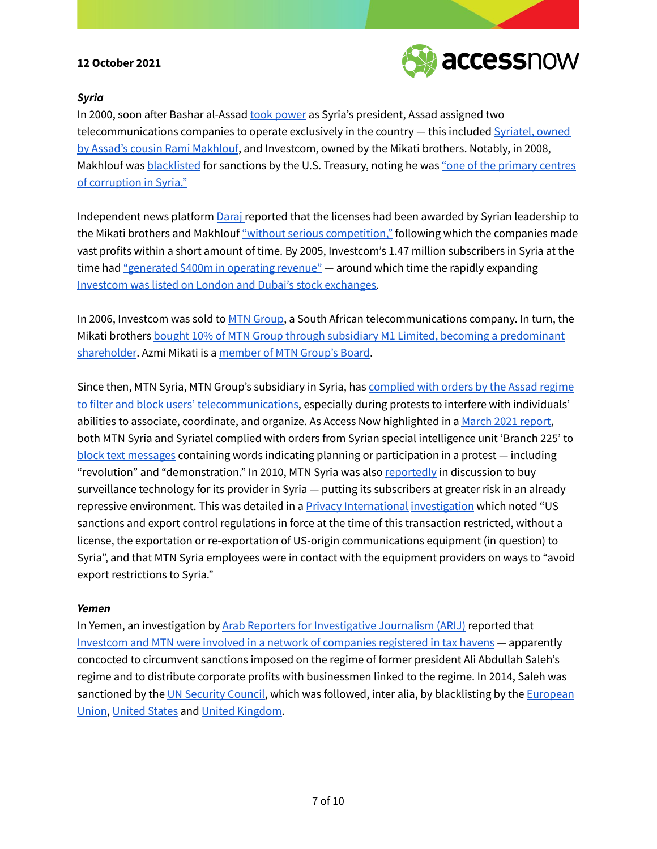

#### *Syria*

In 2000, soon after Bashar al-Assad took [power](https://www.nytimes.com/2000/07/11/world/syrians-vote-to-confirm-assad-s-son-as-president.html) as Syria's president, Assad assigned two telecommunications companies to operate exclusively in the country — this included [Syriatel,](https://www.reuters.com/article/us-mideast-syria-tycoon-special-report-idUSKCN2591C3) owned by Assad's cousin Rami [Makhlouf](https://www.reuters.com/article/us-mideast-syria-tycoon-special-report-idUSKCN2591C3), and Investcom, owned by the Mikati brothers. Notably, in 2008, Makhlouf was [blacklisted](https://www.reuters.com/article/us-usa-syria-sanctions-idUSKCN18C2G8) for sanctions by the U.S. Treasury, noting he was "one of the [primary](https://www.reuters.com/article/us-mideast-syria-tycoon-special-report-idUSKCN2591C3) centres of [corruption](https://www.reuters.com/article/us-mideast-syria-tycoon-special-report-idUSKCN2591C3) in Syria."

Independent news platform [Daraj](https://daraj.com) reported that the licenses had been awarded by Syrian leadership to the Mikati brothers and Makhlouf "without serious [competition,"](https://daraj.com/en/77402/) following which the companies made vast profits within a short amount of time. By 2005, Investcom's 1.47 million subscribers in Syria at the time had ["generated](https://daraj.com/en/77402/) \$400m in operating revenue" — around which time the rapidly expanding Investcom was listed on London and Dubai's stock [exchanges.](https://www.m1group.com/about-us/)

In 2006, Investcom was sold to MTN [Group,](https://www.mtn.com) a South African telecommunications company. In turn, the Mikati brothers **bought 10% of MTN Group through subsidiary M1 Limited**, becoming a [predominant](https://today.lorientlejour.com/article/1275096/new-pm-miktatis-business-empire-criticized-by-human-rights-activists-over-post-coup-telecom-dealings-in-myanmar.html) [shareholder](https://today.lorientlejour.com/article/1275096/new-pm-miktatis-business-empire-criticized-by-human-rights-activists-over-post-coup-telecom-dealings-in-myanmar.html). Azmi Mikati is a [member](https://www.wsj.com/market-data/quotes/ZA/MTN/company-people) of MTN Group's Board.

Since then, MTN Syria, MTN Group's subsidiary in Syria, has [complied](https://www.accessnow.org/cms/assets/uploads/2021/03/Digital-dominion-Syria-report.pdf) with orders by the Assad regime to filter and block users' [telecommunications](https://www.accessnow.org/cms/assets/uploads/2021/03/Digital-dominion-Syria-report.pdf), especially during protests to interfere with individuals' abilities to associate, coordinate, and organize. As Access Now highlighted in a March 2021 [report,](https://www.accessnow.org/cms/assets/uploads/2021/03/Digital-dominion-Syria-report.pdf) both MTN Syria and Syriatel complied with orders from Syrian special intelligence unit 'Branch 225' to block text [messages](https://www.bloomberg.com/news/articles/2012-02-15/syria-blocks-texts-with-dublin-made-gear) containing words indicating planning or participation in a protest — including "revolution" and "demonstration." In 2010, MTN Syria was also [reportedly](https://privacyinternational.org/sites/default/files/2017-12/OpenSeason_0.pdf) in discussion to buy surveillance technology for its provider in Syria — putting its subscribers at greater risk in an already repressive environment. This was detailed in a **Privacy [International](https://privacyinternational.org) [investigation](https://privacyinternational.org/sites/default/files/2017-12/OpenSeason_0.pdf)** which noted "US sanctions and export control regulations in force at the time of this transaction restricted, without a license, the exportation or re-exportation of US-origin communications equipment (in question) to Syria", and that MTN Syria employees were in contact with the equipment providers on ways to "avoid export restrictions to Syria."

#### *Yemen*

In Yemen, an investigation by Arab Reporters for [Investigative](https://en.arij.net/site-message/) Journalism (ARIJ) reported that Investcom and MTN were involved in a network of [companies](https://en.arij.net/investigation/shaher-abdulhaks-tax-havens-violate-international-law/) registered in tax havens — apparently concocted to circumvent sanctions imposed on the regime of former president Ali Abdullah Saleh's regime and to distribute corporate profits with businessmen linked to the regime. In 2014, Saleh was sanctioned by the UN [Security](https://www.un.org/securitycouncil/sanctions/2140/materials/summaries/individual/ali-abdullah-saleh) Council, which was followed, inter alia, by blacklisting by the [European](https://eur-lex.europa.eu/legal-content/HR/TXT/?uri=uriserv%3AOJ.L_.2017.090.01.0022.01.ENG&toc=OJ%3AL%3A2017%3A090%3ATOC) [Union,](https://eur-lex.europa.eu/legal-content/HR/TXT/?uri=uriserv%3AOJ.L_.2017.090.01.0022.01.ENG&toc=OJ%3AL%3A2017%3A090%3ATOC) [United](https://www.treasury.gov/press-center/press-releases/Pages/jl2693.aspx) States and United [Kingdom.](https://assets.publishing.service.gov.uk/government/uploads/system/uploads/attachment_data/file/976083/Yemen.pdf)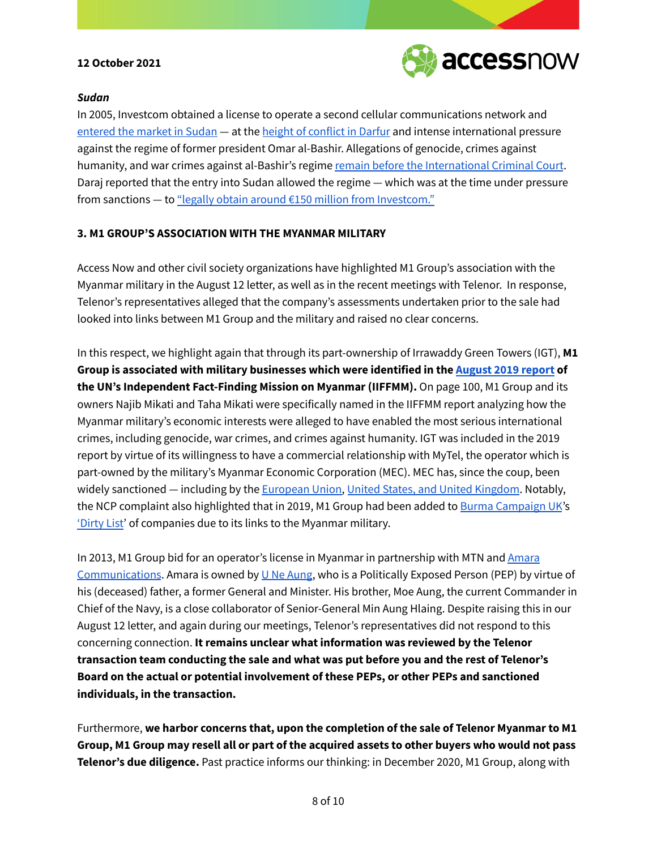

#### *Sudan*

In 2005, Investcom obtained a license to operate a second cellular communications network and [entered](https://daraj.com/en/77402/) the market in Sudan - at the height of [conflict](https://www.un.org/ruleoflaw/files/com_inq_darfur.pdf) in Darfur and intense international pressure against the regime of former president Omar al-Bashir. Allegations of genocide, crimes against humanity, and war crimes against al-Bashir's regime remain before the [International](https://news.un.org/en/story/2021/06/1093692) Criminal Court. Daraj reported that the entry into Sudan allowed the regime — which was at the time under pressure from sanctions — to "legally obtain around  $E$ 150 million from [Investcom."](https://daraj.com/en/77402/)

### **3. M1 GROUP'S ASSOCIATION WITH THE MYANMAR MILITARY**

Access Now and other civil society organizations have highlighted M1 Group's association with the Myanmar military in the August 12 letter, as well as in the recent meetings with Telenor. In response, Telenor's representatives alleged that the company's assessments undertaken prior to the sale had looked into links between M1 Group and the military and raised no clear concerns.

In this respect, we highlight again that through its part-ownership of Irrawaddy Green Towers (IGT), **M1 Group is associated with military businesses which were identified in the [August](https://www.ohchr.org/Documents/HRBodies/HRCouncil/FFM-Myanmar/EconomicInterestsMyanmarMilitary/A_HRC_42_CRP_3.pdf) 2019 report of the UN's Independent Fact-Finding Mission on Myanmar (IIFFMM).** On page 100, M1 Group and its owners Najib Mikati and Taha Mikati were specifically named in the IIFFMM report analyzing how the Myanmar military's economic interests were alleged to have enabled the most serious international crimes, including genocide, war crimes, and crimes against humanity. IGT was included in the 2019 report by virtue of its willingness to have a commercial relationship with MyTel, the operator which is part-owned by the military's Myanmar Economic Corporation (MEC). MEC has, since the coup, been widely sanctioned - including by the **[European](https://www.consilium.europa.eu/en/press/press-releases/2021/04/19/myanmar-burma-eu-imposes-sanctions-on-10-individuals-and-two-military-controlled-companies-over-the-february-military-coup-and-subsequent-repression/) Union, United States, and United [Kingdom](https://www.reuters.com/article/us-myanmar-politics-military-sanctions-f-idUSKBN2BH26I)**. Notably, the NCP complaint also highlighted that in 2019, M1 Group had been added to Burma [Campaign](https://burmacampaign.org.uk) UK's ['Dirty](https://burmacampaign.org.uk/take-action/dirty-list/) List' of companies due to its links to the Myanmar military.

In 2013, M1 Group bid for an operator's license in Myanmar in partnership with MTN and [Amara](https://www.ige.com.mm/amara-communications) [Communications](https://www.ige.com.mm/amara-communications). Amara is owned by  $U$  Ne [Aung](https://www.ige.com.mm/ne-aung-bio), who is a Politically Exposed Person (PEP) by virtue of his (deceased) father, a former General and Minister. His brother, Moe Aung, the current Commander in Chief of the Navy, is a close collaborator of Senior-General Min Aung Hlaing. Despite raising this in our August 12 letter, and again during our meetings, Telenor's representatives did not respond to this concerning connection. **It remains unclear what information was reviewed by the Telenor transaction team conducting the sale and what was put before you and the rest of Telenor's Board on the actual or potential involvement of these PEPs, or other PEPs and sanctioned individuals, in the transaction.**

Furthermore, **we harbor concerns that, upon the completion of the sale of Telenor Myanmar to M1** Group, M1 Group may resell all or part of the acquired assets to other buyers who would not pass **Telenor's due diligence.** Past practice informs our thinking: in December 2020, M1 Group, along with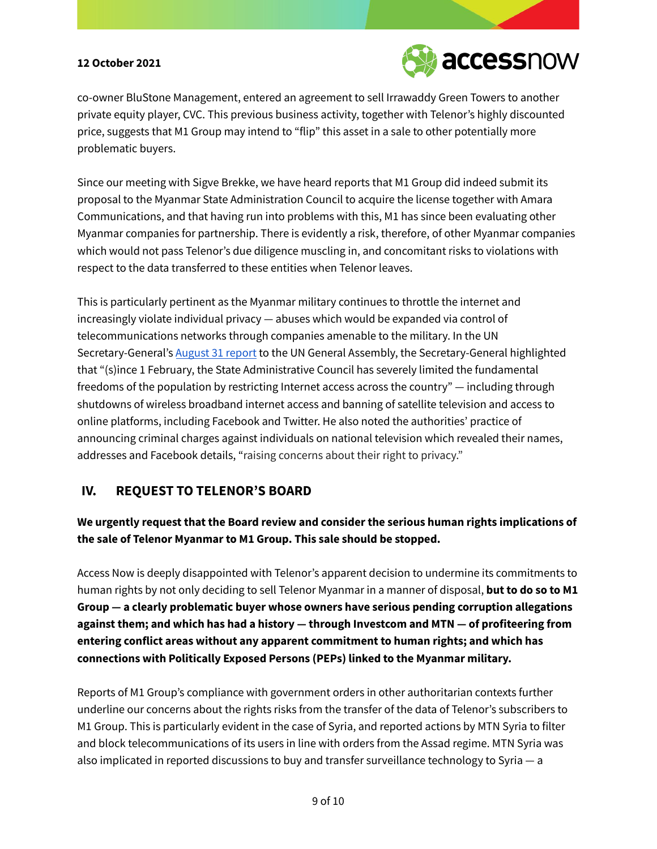

co-owner BluStone Management, entered an agreement to sell Irrawaddy Green Towers to another private equity player, CVC. This previous business activity, together with Telenor's highly discounted price, suggests that M1 Group may intend to "flip" this asset in a sale to other potentially more problematic buyers.

Since our meeting with Sigve Brekke, we have heard reports that M1 Group did indeed submit its proposal to the Myanmar State Administration Council to acquire the license together with Amara Communications, and that having run into problems with this, M1 has since been evaluating other Myanmar companies for partnership. There is evidently a risk, therefore, of other Myanmar companies which would not pass Telenor's due diligence muscling in, and concomitant risks to violations with respect to the data transferred to these entities when Telenor leaves.

This is particularly pertinent as the Myanmar military continues to throttle the internet and increasingly violate individual privacy — abuses which would be expanded via control of telecommunications networks through companies amenable to the military. In the UN Secretary-General's [August](https://documents-dds-ny.un.org/doc/UNDOC/GEN/N21/239/83/PDF/N2123983.pdf?OpenElement) 31 report to the UN General Assembly, the Secretary-General highlighted that "(s)ince 1 February, the State Administrative Council has severely limited the fundamental freedoms of the population by restricting Internet access across the country" — including through shutdowns of wireless broadband internet access and banning of satellite television and access to online platforms, including Facebook and Twitter. He also noted the authorities' practice of announcing criminal charges against individuals on national television which revealed their names, addresses and Facebook details, "raising concerns about their right to privacy."

## **IV. REQUEST TO TELENOR'S BOARD**

# **We urgently request that the Board review and consider the serious human rights implications of the sale of Telenor Myanmar to M1 Group. This sale should be stopped.**

Access Now is deeply disappointed with Telenor's apparent decision to undermine its commitments to human rights by not only deciding to sell Telenor Myanmar in a manner of disposal, **but to do so to M1 Group — a clearly problematic buyer whose owners have serious pending corruption allegations against them; and which has had a history — through Investcom and MTN — of profiteering from entering conflict areas without any apparent commitment to human rights; and which has connections with Politically Exposed Persons (PEPs) linked to the Myanmar military.**

Reports of M1 Group's compliance with government orders in other authoritarian contexts further underline our concerns about the rights risks from the transfer of the data of Telenor's subscribers to M1 Group. This is particularly evident in the case of Syria, and reported actions by MTN Syria to filter and block telecommunications of its users in line with orders from the Assad regime. MTN Syria was also implicated in reported discussions to buy and transfer surveillance technology to Syria — a